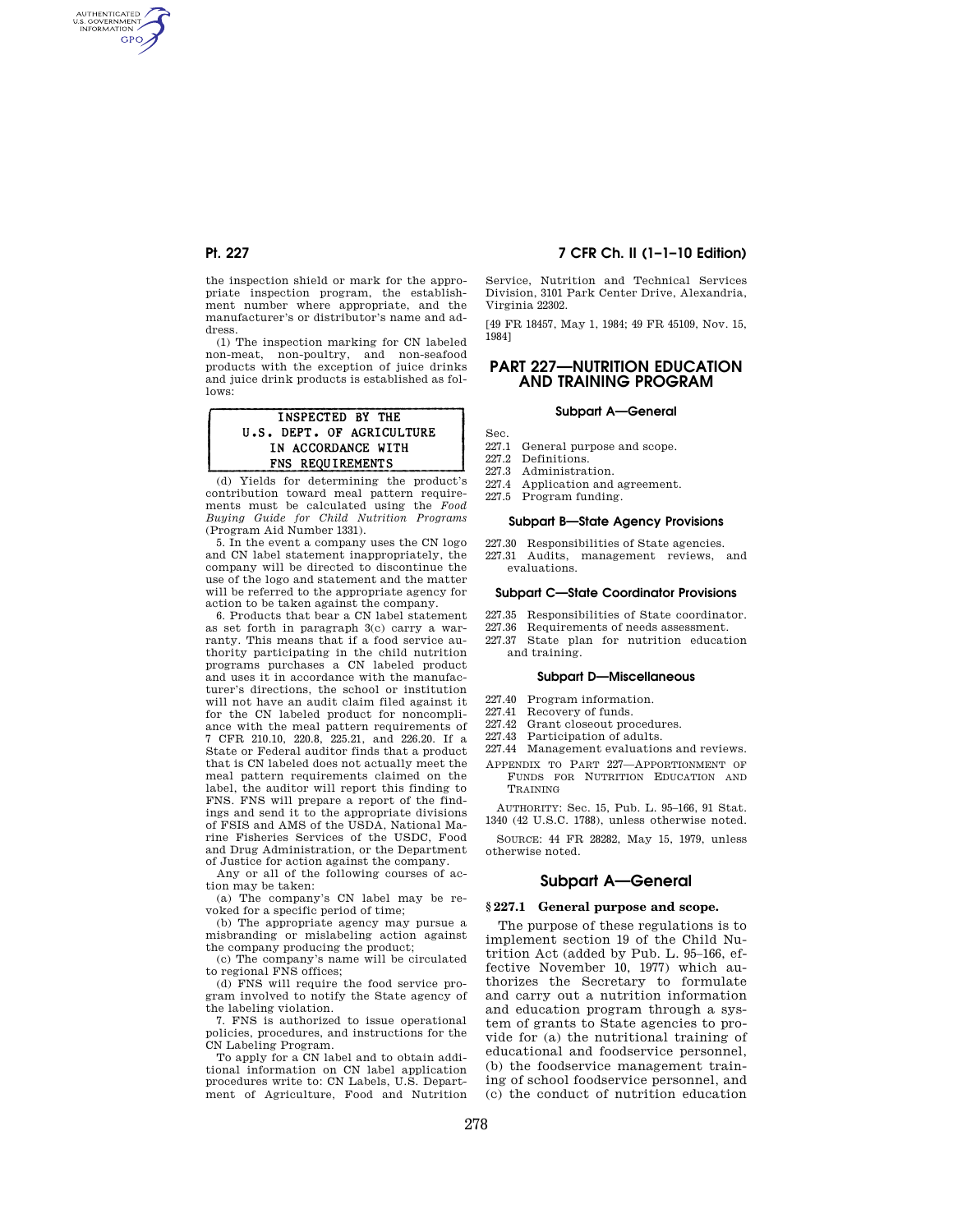AUTHENTICATED<br>U.S. GOVERNMENT<br>INFORMATION **GPO** 

> the inspection shield or mark for the annropriate inspection program, the establishment number where appropriate, and the manufacturer's or distributor's name and address.

> (1) The inspection marking for CN labeled non-meat, non-poultry, and non-seafood products with the exception of juice drinks and juice drink products is established as follows:

## INSPECTED BY THE U.S. DEPT. OF AGRICULTURE IN ACCORDANCE WITH FNS REQUIREMENTS

(d) Yields for determining the product's contribution toward meal pattern requirements must be calculated using the *Food Buying Guide for Child Nutrition Programs*  (Program Aid Number 1331).

5. In the event a company uses the CN logo and CN label statement inappropriately, the company will be directed to discontinue the use of the logo and statement and the matter will be referred to the appropriate agency for action to be taken against the company.

6. Products that bear a CN label statement as set forth in paragraph 3(c) carry a warranty. This means that if a food service authority participating in the child nutrition programs purchases a CN labeled product and uses it in accordance with the manufacturer's directions, the school or institution will not have an audit claim filed against it for the CN labeled product for noncompliance with the meal pattern requirements of 7 CFR 210.10, 220.8, 225.21, and 226.20. If a State or Federal auditor finds that a product that is CN labeled does not actually meet the meal pattern requirements claimed on the label, the auditor will report this finding to FNS. FNS will prepare a report of the findings and send it to the appropriate divisions of FSIS and AMS of the USDA, National Marine Fisheries Services of the USDC, Food and Drug Administration, or the Department of Justice for action against the company.

Any or all of the following courses of action may be taken:

(a) The company's CN label may be revoked for a specific period of time;

(b) The appropriate agency may pursue a misbranding or mislabeling action against the company producing the product;

(c) The company's name will be circulated to regional FNS offices;

(d) FNS will require the food service program involved to notify the State agency of the labeling violation.

7. FNS is authorized to issue operational policies, procedures, and instructions for the CN Labeling Program.

To apply for a CN label and to obtain additional information on CN label application procedures write to: CN Labels, U.S. Department of Agriculture, Food and Nutrition

# **Pt. 227 7 CFR Ch. II (1–1–10 Edition)**

Service, Nutrition and Technical Services Division, 3101 Park Center Drive, Alexandria, Virginia 22302.

[49 FR 18457, May 1, 1984; 49 FR 45109, Nov. 15, 1984]

# **PART 227—NUTRITION EDUCATION AND TRAINING PROGRAM**

# **Subpart A—General**

- 227.1 General purpose and scope.
- 227.2 Definitions.

Sec.

- 227.3 Administration.
- Application and agreement.
- 227.5 Program funding.

## **Subpart B—State Agency Provisions**

- 227.30 Responsibilities of State agencies.
- 227.31 Audits, management reviews, and evaluations.

### **Subpart C—State Coordinator Provisions**

- 227.35 Responsibilities of State coordinator.
- 227.36 Requirements of needs assessment.
- 227.37 State plan for nutrition education and training.

#### **Subpart D—Miscellaneous**

- 227.40 Program information.<br>227.41 Recovery of funds.
- Recovery of funds.
- 227.42 Grant closeout procedures.
- 227.43 Participation of adults.
- 227.44 Management evaluations and reviews.
- APPENDIX TO PART 227—APPORTIONMENT OF FUNDS FOR NUTRITION EDUCATION AND TRAINING

AUTHORITY: Sec. 15, Pub. L. 95–166, 91 Stat. 1340 (42 U.S.C. 1788), unless otherwise noted.

SOURCE: 44 FR 28282, May 15, 1979, unless otherwise noted.

# **Subpart A—General**

## **§ 227.1 General purpose and scope.**

The purpose of these regulations is to implement section 19 of the Child Nutrition Act (added by Pub. L. 95–166, effective November 10, 1977) which authorizes the Secretary to formulate and carry out a nutrition information and education program through a system of grants to State agencies to provide for (a) the nutritional training of educational and foodservice personnel, (b) the foodservice management training of school foodservice personnel, and (c) the conduct of nutrition education